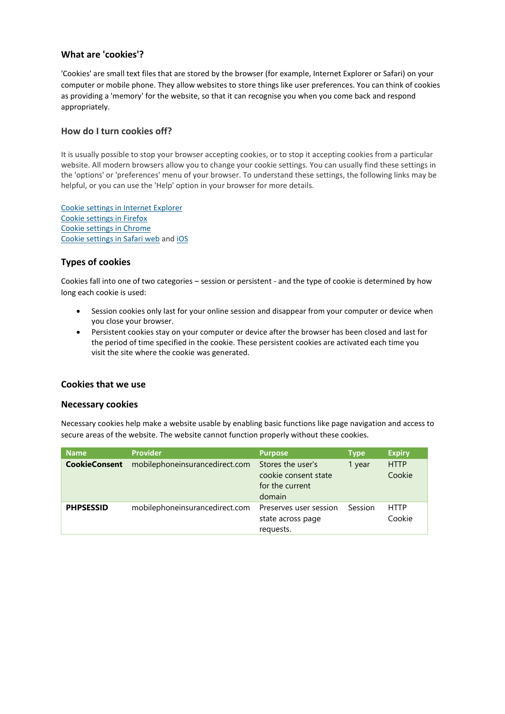### **What are 'cookies'?**

'Cookies' are small text files that are stored by the browser (for example, Internet Explorer or Safari) on your computer or mobile phone. They allow websites to store things like user preferences. You can think of cookies as providing a 'memory' for the website, so that it can recognise you when you come back and respond appropriately.

### **How do I turn cookies off?**

It is usually possible to stop your browser accepting cookies, or to stop it accepting cookies from a particular website. All modern browsers allow you to change your cookie settings. You can usually find these settings in the 'options' or 'preferences' menu of your browser. To understand these settings, the following links may be helpful, or you can use the 'Help' option in your browser for more details.

[Cookie settings in Internet Explorer](http://windows.microsoft.com/en-GB/internet-explorer/delete-manage-cookies#ie=ie-10) [Cookie settings in Firefox](http://support.mozilla.com/en-US/kb/Cookies) [Cookie settings in Chrome](https://support.google.com/chrome/answer/95647?hl=en&ref_topic=14666) [Cookie settings in Safari web](https://support.apple.com/kb/PH17191?locale=en_US) and [iOS](http://support.apple.com/kb/HT1677)

# **Types of cookies**

Cookies fall into one of two categories – session or persistent - and the type of cookie is determined by how long each cookie is used:

- Session cookies only last for your online session and disappear from your computer or device when you close your browser.
- Persistent cookies stay on your computer or device after the browser has been closed and last for the period of time specified in the cookie. These persistent cookies are activated each time you visit the site where the cookie was generated.

## **Cookies that we use**

#### **Necessary cookies**

Necessary cookies help make a website usable by enabling basic functions like page navigation and access to secure areas of the website. The website cannot function properly without these cookies.

| <b>Name</b>          | <b>Provider</b>                | <b>Purpose</b>                                                         | <b>Type</b> | <b>Expiry</b>         |
|----------------------|--------------------------------|------------------------------------------------------------------------|-------------|-----------------------|
| <b>CookieConsent</b> | mobilephoneinsurancedirect.com | Stores the user's<br>cookie consent state<br>for the current<br>domain | 1 year      | <b>HTTP</b><br>Cookie |
| <b>PHPSESSID</b>     | mobilephoneinsurancedirect.com | Preserves user session<br>state across page<br>requests.               | Session     | <b>HTTP</b><br>Cookie |